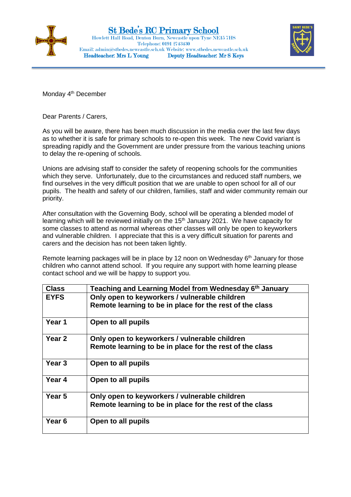



Monday 4<sup>th</sup> December

Dear Parents / Carers,

As you will be aware, there has been much discussion in the media over the last few days as to whether it is safe for primary schools to re-open this week. The new Covid variant is spreading rapidly and the Government are under pressure from the various teaching unions to delay the re-opening of schools.

Unions are advising staff to consider the safety of reopening schools for the communities which they serve. Unfortunately, due to the circumstances and reduced staff numbers, we find ourselves in the very difficult position that we are unable to open school for all of our pupils. The health and safety of our children, families, staff and wider community remain our priority.

After consultation with the Governing Body, school will be operating a blended model of learning which will be reviewed initially on the 15<sup>th</sup> January 2021. We have capacity for some classes to attend as normal whereas other classes will only be open to keyworkers and vulnerable children. I appreciate that this is a very difficult situation for parents and carers and the decision has not been taken lightly.

Remote learning packages will be in place by 12 noon on Wednesday  $6<sup>th</sup>$  January for those children who cannot attend school. If you require any support with home learning please contact school and we will be happy to support you.

| <b>Class</b>      | Teaching and Learning Model from Wednesday 6th January   |
|-------------------|----------------------------------------------------------|
| <b>EYFS</b>       | Only open to keyworkers / vulnerable children            |
|                   | Remote learning to be in place for the rest of the class |
| Year 1            | Open to all pupils                                       |
| Year <sub>2</sub> | Only open to keyworkers / vulnerable children            |
|                   | Remote learning to be in place for the rest of the class |
| Year 3            | Open to all pupils                                       |
| Year 4            | Open to all pupils                                       |
| Year 5            | Only open to keyworkers / vulnerable children            |
|                   | Remote learning to be in place for the rest of the class |
| Year <sub>6</sub> | Open to all pupils                                       |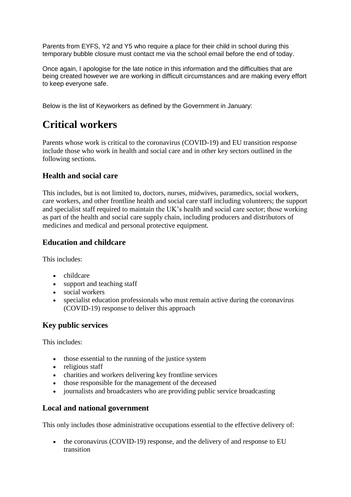Parents from EYFS, Y2 and Y5 who require a place for their child in school during this temporary bubble closure must contact me via the school email before the end of today.

Once again, I apologise for the late notice in this information and the difficulties that are being created however we are working in difficult circumstances and are making every effort to keep everyone safe.

Below is the list of Keyworkers as defined by the Government in January:

# **Critical workers**

Parents whose work is critical to the coronavirus (COVID-19) and EU transition response include those who work in health and social care and in other key sectors outlined in the following sections.

## **Health and social care**

This includes, but is not limited to, doctors, nurses, midwives, paramedics, social workers, care workers, and other frontline health and social care staff including volunteers; the support and specialist staff required to maintain the UK's health and social care sector; those working as part of the health and social care supply chain, including producers and distributors of medicines and medical and personal protective equipment.

## **Education and childcare**

This includes:

- childcare
- support and teaching staff
- social workers
- specialist education professionals who must remain active during the coronavirus (COVID-19) response to deliver this approach

## **Key public services**

This includes:

- those essential to the running of the justice system
- religious staff
- charities and workers delivering key frontline services
- those responsible for the management of the deceased
- journalists and broadcasters who are providing public service broadcasting

### **Local and national government**

This only includes those administrative occupations essential to the effective delivery of:

• the coronavirus (COVID-19) response, and the delivery of and response to EU transition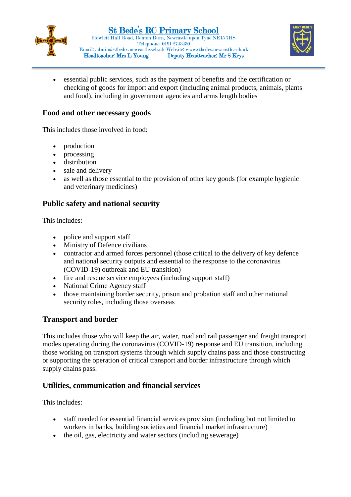



• essential public services, such as the payment of benefits and the certification or checking of goods for import and export (including animal products, animals, plants and food), including in government agencies and arms length bodies

#### **Food and other necessary goods**

This includes those involved in food:

- production
- processing
- distribution
- sale and delivery
- as well as those essential to the provision of other key goods (for example hygienic and veterinary medicines)

## **Public safety and national security**

This includes:

- police and support staff
- Ministry of Defence civilians
- contractor and armed forces personnel (those critical to the delivery of key defence and national security outputs and essential to the response to the coronavirus (COVID-19) outbreak and EU transition)
- fire and rescue service employees (including support staff)
- National Crime Agency staff
- those maintaining border security, prison and probation staff and other national security roles, including those overseas

#### **Transport and border**

This includes those who will keep the air, water, road and rail passenger and freight transport modes operating during the coronavirus (COVID-19) response and EU transition, including those working on transport systems through which supply chains pass and those constructing or supporting the operation of critical transport and border infrastructure through which supply chains pass.

### **Utilities, communication and financial services**

This includes:

- staff needed for essential financial services provision (including but not limited to workers in banks, building societies and financial market infrastructure)
- the oil, gas, electricity and water sectors (including sewerage)